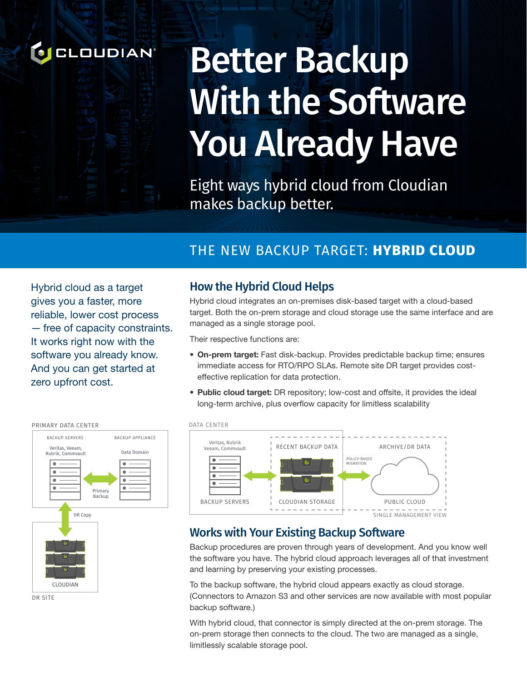

# Better Backup With the Software You Already Have

Eight ways hybrid cloud from Cloudian makes backup better.

#### THE NEW BACKUP TARGET: **HYBRID CLOUD** APPLIANCE

zero upfront cost. Hybrid cloud as a target gives you a faster, more reliable, lower cost process — free of capacity constraints. It works right now with the software you already know. And you can get started at



DR SITE

#### How the Hybrid Cloud Helps

Hybrid cloud integrates an on-premises disk-based target with a cloud-based target. Both the on-prem storage and cloud storage use the same interface and are managed as a single storage pool.

Their respective functions are:

- **• On-prem target:** Fast disk-backup. Provides predictable backup time; ensures immediate access for RTO/RPO SLAs. Remote site DR target provides costeffective replication for data protection.
- **• Public cloud target:** DR repository; low-cost and offsite, it provides the ideal long-term archive, plus overflow capacity for limitless scalability



#### Works with Your Existing Backup Software

Backup procedures are proven through years of development. And you know well the software you have. The hybrid cloud approach leverages all of that investment and learning by preserving your existing processes.

To the backup software, the hybrid cloud appears exactly as cloud storage. (Connectors to Amazon S3 and other services are now available with most popular backup software.)

With hybrid cloud, that connector is simply directed at the on-prem storage. The on-prem storage then connects to the cloud. The two are managed as a single, limitlessly scalable storage pool.